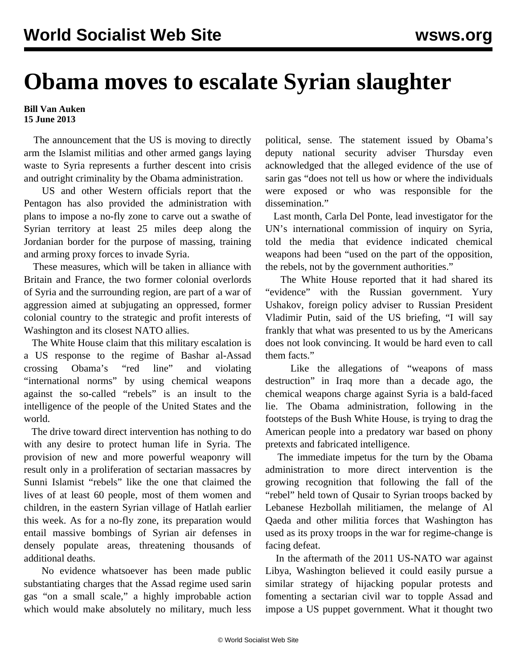## **Obama moves to escalate Syrian slaughter**

## **Bill Van Auken 15 June 2013**

 The announcement that the US is moving to directly arm the Islamist militias and other armed gangs laying waste to Syria represents a further descent into crisis and outright criminality by the Obama administration.

 US and other Western officials report that the Pentagon has also provided the administration with plans to impose a no-fly zone to carve out a swathe of Syrian territory at least 25 miles deep along the Jordanian border for the purpose of massing, training and arming proxy forces to invade Syria.

 These measures, which will be taken in alliance with Britain and France, the two former colonial overlords of Syria and the surrounding region, are part of a war of aggression aimed at subjugating an oppressed, former colonial country to the strategic and profit interests of Washington and its closest NATO allies.

 The White House claim that this military escalation is a US response to the regime of Bashar al-Assad crossing Obama's "red line" and violating "international norms" by using chemical weapons against the so-called "rebels" is an insult to the intelligence of the people of the United States and the world.

 The drive toward direct intervention has nothing to do with any desire to protect human life in Syria. The provision of new and more powerful weaponry will result only in a proliferation of sectarian massacres by Sunni Islamist "rebels" like the one that claimed the lives of at least 60 people, most of them women and children, in the eastern Syrian village of Hatlah earlier this week. As for a no-fly zone, its preparation would entail massive bombings of Syrian air defenses in densely populate areas, threatening thousands of additional deaths.

 No evidence whatsoever has been made public substantiating charges that the Assad regime used sarin gas "on a small scale," a highly improbable action which would make absolutely no military, much less

political, sense. The statement issued by Obama's deputy national security adviser Thursday even acknowledged that the alleged evidence of the use of sarin gas "does not tell us how or where the individuals were exposed or who was responsible for the dissemination."

 Last month, Carla Del Ponte, lead investigator for the UN's international commission of inquiry on Syria, told the media that evidence indicated chemical weapons had been "used on the part of the opposition, the rebels, not by the government authorities."

 The White House reported that it had shared its "evidence" with the Russian government. Yury Ushakov, foreign policy adviser to Russian President Vladimir Putin, said of the US briefing, "I will say frankly that what was presented to us by the Americans does not look convincing. It would be hard even to call them facts."

 Like the allegations of "weapons of mass destruction" in Iraq more than a decade ago, the chemical weapons charge against Syria is a bald-faced lie. The Obama administration, following in the footsteps of the Bush White House, is trying to drag the American people into a predatory war based on phony pretexts and fabricated intelligence.

 The immediate impetus for the turn by the Obama administration to more direct intervention is the growing recognition that following the fall of the "rebel" held town of Qusair to Syrian troops backed by Lebanese Hezbollah militiamen, the melange of Al Qaeda and other militia forces that Washington has used as its proxy troops in the war for regime-change is facing defeat.

 In the aftermath of the 2011 US-NATO war against Libya, Washington believed it could easily pursue a similar strategy of hijacking popular protests and fomenting a sectarian civil war to topple Assad and impose a US puppet government. What it thought two